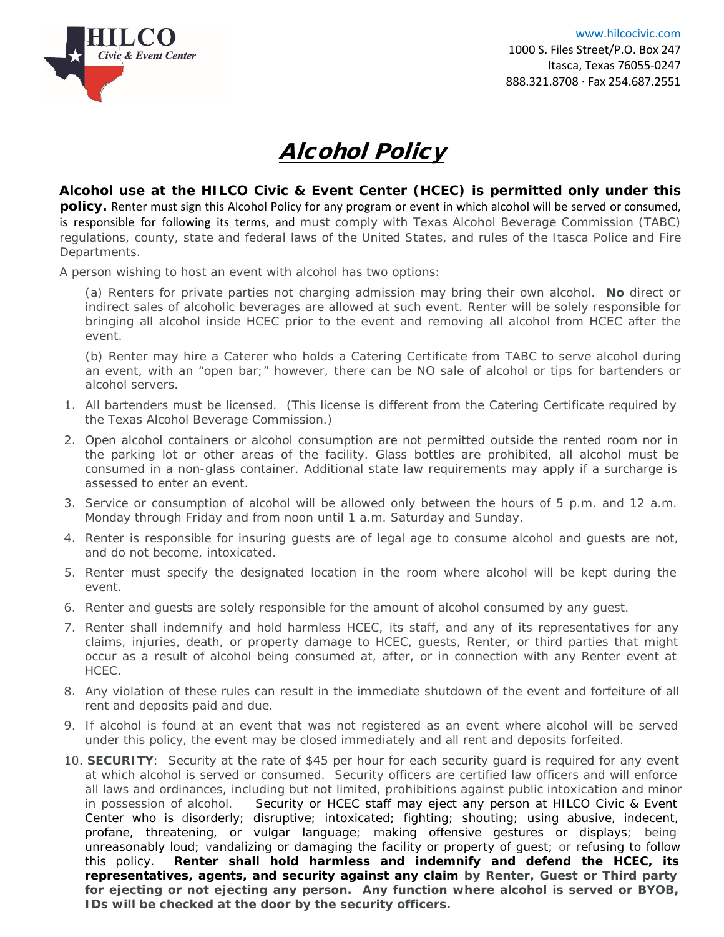

## Alcohol Policy

**Alcohol use at the HILCO Civic & Event Center (HCEC) is permitted only under this policy.** Renter must sign this Alcohol Policy for any program or event in which alcohol will be served or consumed, is responsible for following its terms, and must comply with Texas Alcohol Beverage Commission (TABC) regulations, county, state and federal laws of the United States, and rules of the Itasca Police and Fire Departments.

A person wishing to host an event with alcohol has two options:

(a) Renters for private parties not charging admission may bring their own alcohol. **No** direct or indirect sales of alcoholic beverages are allowed at such event. Renter will be solely responsible for bringing all alcohol inside HCEC prior to the event and removing all alcohol from HCEC after the event.

(b) Renter may hire a Caterer who holds a Catering Certificate from TABC to serve alcohol during an event, with an "open bar;" however, there can be NO sale of alcohol or tips for bartenders or alcohol servers.

- 1. All bartenders must be licensed. (This license is different from the Catering Certificate required by the Texas Alcohol Beverage Commission.)
- 2. Open alcohol containers or alcohol consumption are not permitted outside the rented room nor in the parking lot or other areas of the facility. Glass bottles are prohibited, all alcohol must be consumed in a non-glass container. Additional state law requirements may apply if a surcharge is assessed to enter an event.
- 3. Service or consumption of alcohol will be allowed only between the hours of 5 p.m. and 12 a.m. Monday through Friday and from noon until 1 a.m. Saturday and Sunday.
- 4. Renter is responsible for insuring guests are of legal age to consume alcohol and guests are not, and do not become, intoxicated.
- 5. Renter must specify the designated location in the room where alcohol will be kept during the event.
- 6. Renter and guests are solely responsible for the amount of alcohol consumed by any guest.
- 7. Renter shall indemnify and hold harmless HCEC, its staff, and any of its representatives for any claims, injuries, death, or property damage to HCEC, guests, Renter, or third parties that might occur as a result of alcohol being consumed at, after, or in connection with any Renter event at HCEC.
- 8. Any violation of these rules can result in the immediate shutdown of the event and forfeiture of all rent and deposits paid and due.
- 9. If alcohol is found at an event that was not registered as an event where alcohol will be served under this policy, the event may be closed immediately and all rent and deposits forfeited.
- 10. **SECURITY**: Security at the rate of \$45 per hour for each security guard is required for any event at which alcohol is served or consumed. Security officers are certified law officers and will enforce all laws and ordinances, including but not limited, prohibitions against public intoxication and minor in possession of alcohol. Security or HCEC staff may eject any person at HILCO Civic & Event Center who is disorderly; disruptive; intoxicated; fighting; shouting; using abusive, indecent, profane, threatening, or vulgar language; making offensive gestures or displays; being unreasonably loud; vandalizing or damaging the facility or property of guest; or refusing to follow this policy. **Renter shall hold harmless and indemnify and defend the HCEC, its representatives, agents, and security against any claim by Renter, Guest or Third party for ejecting or not ejecting any person. Any function where alcohol is served or BYOB, IDs will be checked at the door by the security officers.**